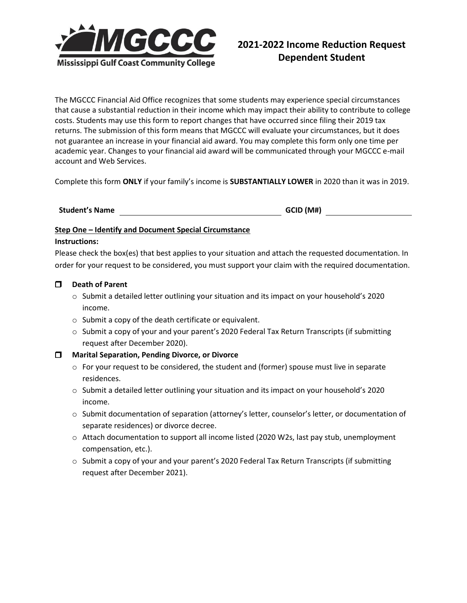

The MGCCC Financial Aid Office recognizes that some students may experience special circumstances that cause a substantial reduction in their income which may impact their ability to contribute to college costs. Students may use this form to report changes that have occurred since filing their 2019 tax returns. The submission of this form means that MGCCC will evaluate your circumstances, but it does not guarantee an increase in your financial aid award. You may complete this form only one time per academic year. Changes to your financial aid award will be communicated through your MGCCC e-mail account and Web Services.

Complete this form **ONLY** if your family's income is **SUBSTANTIALLY LOWER** in 2020 than it was in 2019.

# **Student's Name GCID (M#)**

### **Step One – Identify and Document Special Circumstance**

#### **Instructions:**

Please check the box(es) that best applies to your situation and attach the requested documentation. In order for your request to be considered, you must support your claim with the required documentation.

### **Death of Parent**

- o Submit a detailed letter outlining your situation and its impact on your household's 2020 income.
- o Submit a copy of the death certificate or equivalent.
- $\circ$  Submit a copy of your and your parent's 2020 Federal Tax Return Transcripts (if submitting request after December 2020).

### **Marital Separation, Pending Divorce, or Divorce**

- $\circ$  For your request to be considered, the student and (former) spouse must live in separate residences.
- o Submit a detailed letter outlining your situation and its impact on your household's 2020 income.
- o Submit documentation of separation (attorney's letter, counselor's letter, or documentation of separate residences) or divorce decree.
- o Attach documentation to support all income listed (2020 W2s, last pay stub, unemployment compensation, etc.).
- o Submit a copy of your and your parent's 2020 Federal Tax Return Transcripts (if submitting request after December 2021).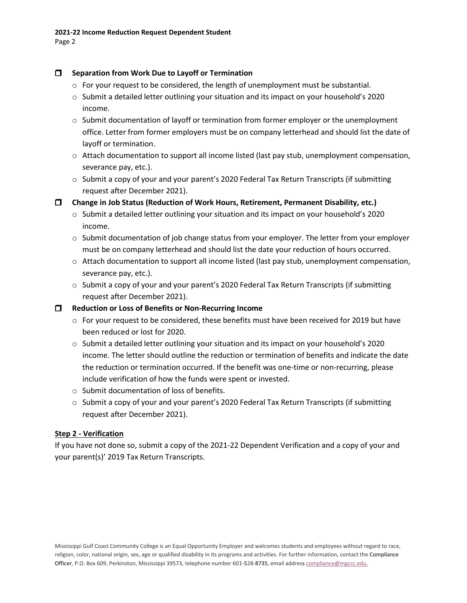## **Separation from Work Due to Layoff or Termination**

- $\circ$  For your request to be considered, the length of unemployment must be substantial.
- o Submit a detailed letter outlining your situation and its impact on your household's 2020 income.
- $\circ$  Submit documentation of layoff or termination from former employer or the unemployment office. Letter from former employers must be on company letterhead and should list the date of layoff or termination.
- $\circ$  Attach documentation to support all income listed (last pay stub, unemployment compensation, severance pay, etc.).
- $\circ$  Submit a copy of your and your parent's 2020 Federal Tax Return Transcripts (if submitting request after December 2021).

**Change in Job Status (Reduction of Work Hours, Retirement, Permanent Disability, etc.)**

- o Submit a detailed letter outlining your situation and its impact on your household's 2020 income.
- $\circ$  Submit documentation of job change status from your employer. The letter from your employer must be on company letterhead and should list the date your reduction of hours occurred.
- $\circ$  Attach documentation to support all income listed (last pay stub, unemployment compensation, severance pay, etc.).
- o Submit a copy of your and your parent's 2020 Federal Tax Return Transcripts (if submitting request after December 2021).

### **Reduction or Loss of Benefits or Non-Recurring Income**

- $\circ$  For your request to be considered, these benefits must have been received for 2019 but have been reduced or lost for 2020.
- o Submit a detailed letter outlining your situation and its impact on your household's 2020 income. The letter should outline the reduction or termination of benefits and indicate the date the reduction or termination occurred. If the benefit was one-time or non-recurring, please include verification of how the funds were spent or invested.
- o Submit documentation of loss of benefits.
- $\circ$  Submit a copy of your and your parent's 2020 Federal Tax Return Transcripts (if submitting request after December 2021).

# **Step 2 - Verification**

If you have not done so, submit a copy of the 2021-22 Dependent Verification and a copy of your and your parent(s)' 2019 Tax Return Transcripts.